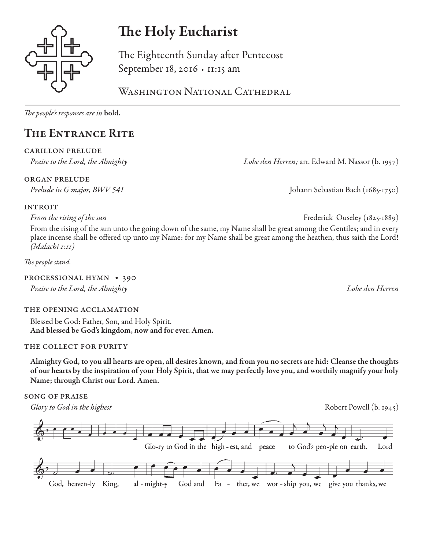

# The Holy Eucharist

The Eighteenth Sunday after Pentecost September 18, 2016 • 11:15 am

# Washington National Cathedral

*The people's responses are in* bold.

# The Entrance Rite

# carillon prelude

*Praise to the Lord, the Almighty Lobe den Herren;* arr. Edward M. Nassor (b. 1957)

organ prelude

*Prelude in G major, BWV 541* Johann Sebastian Bach (1685-1750)

# **INTROIT**

*From the rising of the sun* **From** *Frederick Ouseley* (1825-1889)

From the rising of the sun unto the going down of the same, my Name shall be great among the Gentiles; and in every place incense shall be offered up unto my Name: for my Name shall be great among the heathen, thus saith the Lord! *(Malachi 1:11)*

*The people stand.* 

processional hymn • 390 *Praise to the Lord, the Almighty Lobe den Herren*

## the opening acclamation

Blessed be God: Father, Son, and Holy Spirit. And blessed be God's kingdom, now and for ever. Amen.

## THE COLLECT FOR PURITY

Almighty God, to you all hearts are open, all desires known, and from you no secrets are hid: Cleanse the thoughts of our hearts by the inspiration of your Holy Spirit, that we may perfectly love you, and worthily magnify your holy Name; through Christ our Lord. Amen.

## song of praise

*Glory to God in the highest* **Robert Powell (b. 1945)** Robert Powell (b. 1945)

Glo-ry to God in the high - est, and peace to God's peo-ple on earth. Lord God, heaven-ly King, al - might-y God and Fa - ther, we wor-ship you, we give you thanks, we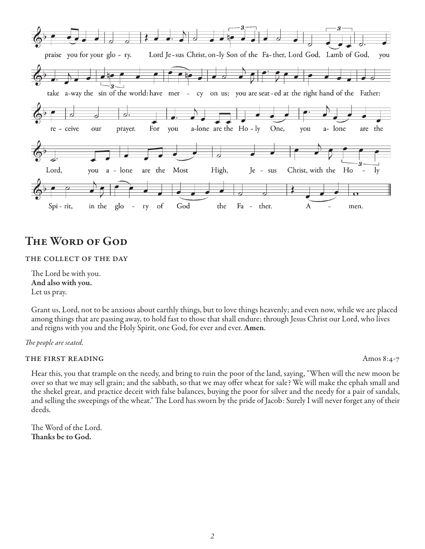

# The Word of God

#### THE COLLECT OF THE DAY

The Lord be with you. And also with you. Let us pray.

Grant us, Lord, not to be anxious about earthly things, but to love things heavenly; and even now, while we are placed among things that are passing away, to hold fast to those that shall endure; through Jesus Christ our Lord, who lives and reigns with you and the Holy Spirit, one God, for ever and ever. Amen.

*The people are seated.* 

#### THE FIRST READING Amos 8:4-7

Hear this, you that trample on the needy, and bring to ruin the poor of the land, saying, "When will the new moon be over so that we may sell grain; and the sabbath, so that we may offer wheat for sale? We will make the ephah small and the shekel great, and practice deceit with false balances, buying the poor for silver and the needy for a pair of sandals, and selling the sweepings of the wheat." The Lord has sworn by the pride of Jacob: Surely I will never forget any of their deeds.

The Word of the Lord. Thanks be to God.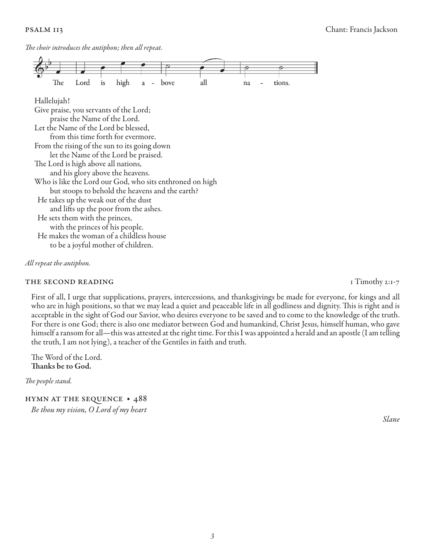*The choir introduces the antiphon; then all repeat.* 



Hallelujah!

Give praise, you servants of the Lord; praise the Name of the Lord. Let the Name of the Lord be blessed, from this time forth for evermore. From the rising of the sun to its going down let the Name of the Lord be praised. The Lord is high above all nations, and his glory above the heavens. Who is like the Lord our God, who sits enthroned on high but stoops to behold the heavens and the earth? He takes up the weak out of the dust and lifts up the poor from the ashes. He sets them with the princes, with the princes of his people. He makes the woman of a childless house to be a joyful mother of children.

*All repeat the antiphon.* 

#### THE SECOND READING THE SECOND READING

First of all, I urge that supplications, prayers, intercessions, and thanksgivings be made for everyone, for kings and all who are in high positions, so that we may lead a quiet and peaceable life in all godliness and dignity. This is right and is acceptable in the sight of God our Savior, who desires everyone to be saved and to come to the knowledge of the truth. For there is one God; there is also one mediator between God and humankind, Christ Jesus, himself human, who gave himself a ransom for all—this was attested at the right time. For this I was appointed a herald and an apostle (I am telling the truth, I am not lying), a teacher of the Gentiles in faith and truth.

The Word of the Lord. Thanks be to God.

*The people stand.*

hymn at the sequence • 488 *Be thou my vision, O Lord of my heart* 

*Slane*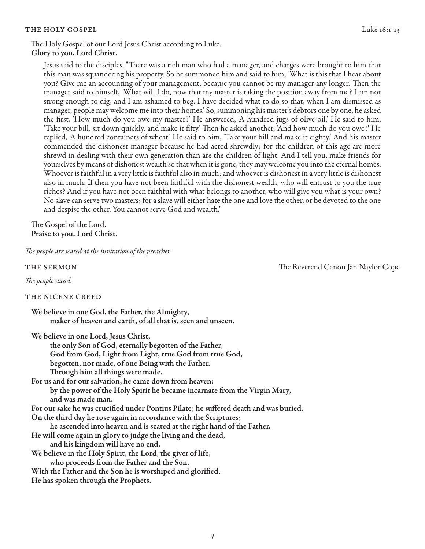#### THE HOLY GOSPEL Luke 16:1-13

The Holy Gospel of our Lord Jesus Christ according to Luke. Glory to you, Lord Christ.

Jesus said to the disciples, "There was a rich man who had a manager, and charges were brought to him that this man was squandering his property. So he summoned him and said to him, 'What is this that I hear about you? Give me an accounting of your management, because you cannot be my manager any longer.' Then the manager said to himself, 'What will I do, now that my master is taking the position away from me? I am not strong enough to dig, and I am ashamed to beg. I have decided what to do so that, when I am dismissed as manager, people may welcome me into their homes.' So, summoning his master's debtors one by one, he asked the first, 'How much do you owe my master?' He answered, 'A hundred jugs of olive oil.' He said to him, 'Take your bill, sit down quickly, and make it fifty.' Then he asked another, 'And how much do you owe?' He replied, 'A hundred containers of wheat.' He said to him, 'Take your bill and make it eighty.' And his master commended the dishonest manager because he had acted shrewdly; for the children of this age are more shrewd in dealing with their own generation than are the children of light. And I tell you, make friends for yourselves by means of dishonest wealth so that when it is gone, they may welcome you into the eternal homes. Whoever is faithful in a very little is faithful also in much; and whoever is dishonest in a very little is dishonest

also in much. If then you have not been faithful with the dishonest wealth, who will entrust to you the true riches? And if you have not been faithful with what belongs to another, who will give you what is your own? No slave can serve two masters; for a slave will either hate the one and love the other, or be devoted to the one and despise the other. You cannot serve God and wealth."

The Gospel of the Lord. Praise to you, Lord Christ.

*The people are seated at the invitation of the preacher*

the sermon The Reverend Canon Jan Naylor Cope

*The people stand.*

#### the nicene creed

We believe in one God, the Father, the Almighty, maker of heaven and earth, of all that is, seen and unseen.

We believe in one Lord, Jesus Christ, the only Son of God, eternally begotten of the Father, God from God, Light from Light, true God from true God, begotten, not made, of one Being with the Father. Through him all things were made. For us and for our salvation, he came down from heaven: by the power of the Holy Spirit he became incarnate from the Virgin Mary, and was made man. For our sake he was crucified under Pontius Pilate; he suffered death and was buried. On the third day he rose again in accordance with the Scriptures; he ascended into heaven and is seated at the right hand of the Father. He will come again in glory to judge the living and the dead, and his kingdom will have no end. We believe in the Holy Spirit, the Lord, the giver of life, who proceeds from the Father and the Son. With the Father and the Son he is worshiped and glorified.

He has spoken through the Prophets.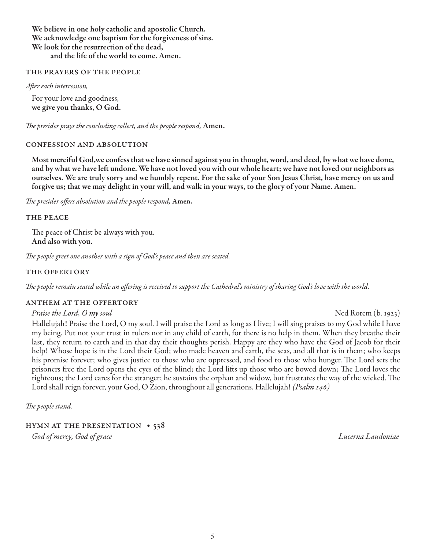We believe in one holy catholic and apostolic Church. We acknowledge one baptism for the forgiveness of sins. We look for the resurrection of the dead, and the life of the world to come. Amen.

#### the prayers of the people

*After each intercession,*

For your love and goodness, we give you thanks, O God.

*The presider prays the concluding collect, and the people respond,* Amen.

#### confession and absolution

Most merciful God,we confess that we have sinned against you in thought, word, and deed, by what we have done, and by what we have left undone. We have not loved you with our whole heart; we have not loved our neighbors as ourselves. We are truly sorry and we humbly repent. For the sake of your Son Jesus Christ, have mercy on us and forgive us; that we may delight in your will, and walk in your ways, to the glory of your Name. Amen.

*The presider offers absolution and the people respond,* Amen.

#### THE PEACE

The peace of Christ be always with you. And also with you.

*The people greet one another with a sign of God's peace and then are seated.*

#### the offertory

*The people remain seated while an offering is received to support the Cathedral's ministry of sharing God's love with the world.*

#### anthem at the offertory

*Praise the Lord, O my soul* **Ned Rorem (b. 1923)** Ned Rorem (b. 1923)

Hallelujah! Praise the Lord, O my soul. I will praise the Lord as long as I live; I will sing praises to my God while I have my being. Put not your trust in rulers nor in any child of earth, for there is no help in them. When they breathe their last, they return to earth and in that day their thoughts perish. Happy are they who have the God of Jacob for their help! Whose hope is in the Lord their God; who made heaven and earth, the seas, and all that is in them; who keeps his promise forever; who gives justice to those who are oppressed, and food to those who hunger. The Lord sets the prisoners free the Lord opens the eyes of the blind; the Lord lifts up those who are bowed down; The Lord loves the righteous; the Lord cares for the stranger; he sustains the orphan and widow, but frustrates the way of the wicked. The Lord shall reign forever, your God, O Zion, throughout all generations. Hallelujah! *(Psalm 146)*

*The people stand.*

hymn at the presentation • 538

*God of mercy, God of grace Lucerna Laudoniae*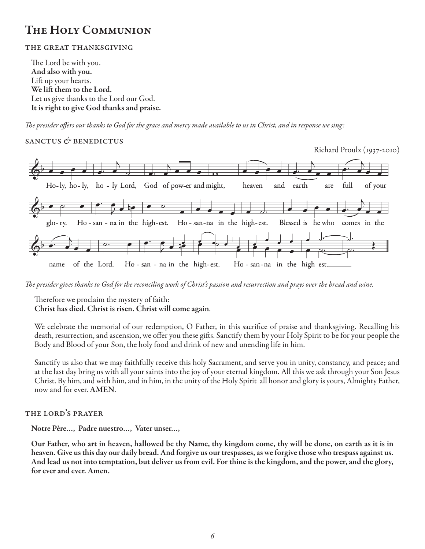# The Holy Communion

# the great thanksgiving

The Lord be with you. And also with you. Lift up your hearts. We lift them to the Lord. Let us give thanks to the Lord our God. It is right to give God thanks and praise.

*The presider offers our thanks to God for the grace and mercy made available to us in Christ, and in response we sing:*

### sanctus *&* benedictus



*The presider gives thanks to God for the reconciling work of Christ's passion and resurrection and prays over the bread and wine.*

Therefore we proclaim the mystery of faith: Christ has died. Christ is risen. Christ will come again.

We celebrate the memorial of our redemption, O Father, in this sacrifice of praise and thanksgiving. Recalling his death, resurrection, and ascension, we offer you these gifts. Sanctify them by your Holy Spirit to be for your people the Body and Blood of your Son, the holy food and drink of new and unending life in him.

Sanctify us also that we may faithfully receive this holy Sacrament, and serve you in unity, constancy, and peace; and at the last day bring us with all your saints into the joy of your eternal kingdom. All this we ask through your Son Jesus Christ. By him, and with him, and in him, in the unity of the Holy Spirit all honor and glory is yours, Almighty Father, now and for ever. AMEN.

### the lord's prayer

Notre Père…, Padre nuestro…, Vater unser…,

Our Father, who art in heaven, hallowed be thy Name, thy kingdom come, thy will be done, on earth as it is in heaven. Give us this day our daily bread. And forgive us our trespasses, as we forgive those who trespass against us. And lead us not into temptation, but deliver us from evil. For thine is the kingdom, and the power, and the glory, for ever and ever. Amen.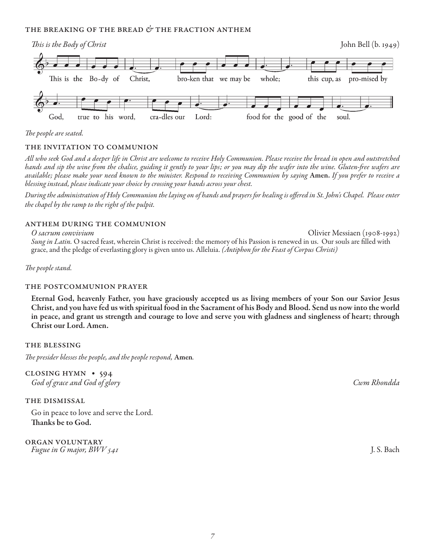#### the breaking of the bread *&* the fraction anthem



*The people are seated.*

#### THE INVITATION TO COMMUNION

*All who seek God and a deeper life in Christ are welcome to receive Holy Communion. Please receive the bread in open and outstretched hands and sip the wine from the chalice, guiding it gently to your lips; or you may dip the wafer into the wine. Gluten-free wafers are available; please make your need known to the minister. Respond to receiving Communion by saying* Amen. *If you prefer to receive a blessing instead, please indicate your choice by crossing your hands across your chest.* 

*During the administration of Holy Communion the laying on of hands and prayers for healing is offered in St. John's Chapel. Please enter the chapel by the ramp to the right of the pulpit.*

#### anthem during the communion

*O sacrum convivium* Olivier Messiaen (1908-1992) *Sung in Latin.* O sacred feast, wherein Christ is received: the memory of his Passion is renewed in us. Our souls are filled with grace, and the pledge of everlasting glory is given unto us. Alleluia. *(Antiphon for the Feast of Corpus Christi)*

*The people stand.* 

#### the postcommunion prayer

Eternal God, heavenly Father, you have graciously accepted us as living members of your Son our Savior Jesus Christ, and you have fed us with spiritual food in the Sacrament of his Body and Blood. Send us now into the world in peace, and grant us strength and courage to love and serve you with gladness and singleness of heart; through Christ our Lord. Amen.

#### the blessing

*The presider blesses the people, and the people respond,* Amen*.*

closing hymn • 594 *God of grace and God of glory Cwm Rhondda*

the dismissal

Go in peace to love and serve the Lord. Thanks be to God.

organ voluntary *Fugue in G major, BWV 541* J. S. Bach